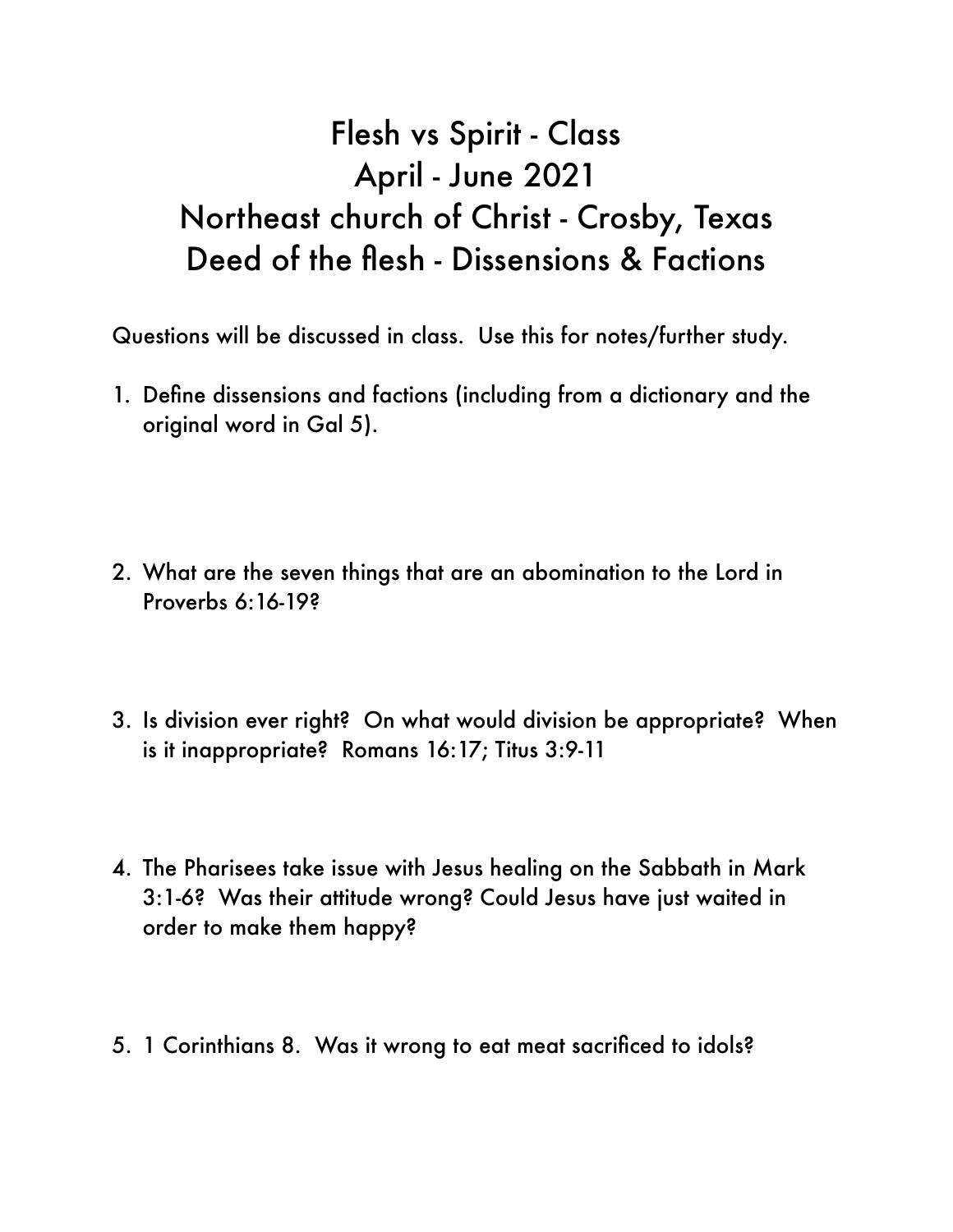## Flesh vs Spirit - Class April - June 2021 Northeast church of Christ - Crosby, Texas Deed of the flesh - Dissensions & Factions

Questions will be discussed in class. Use this for notes/further study.

- 1. Define dissensions and factions (including from a dictionary and the original word in Gal 5).
- 2. What are the seven things that are an abomination to the Lord in Proverbs 6:16-19?
- 3. Is division ever right? On what would division be appropriate? When is it inappropriate? Romans 16:17; Titus 3:9-11
- 4. The Pharisees take issue with Jesus healing on the Sabbath in Mark 3:1-6? Was their attitude wrong? Could Jesus have just waited in order to make them happy?
- 5. 1 Corinthians 8. Was it wrong to eat meat sacrificed to idols?